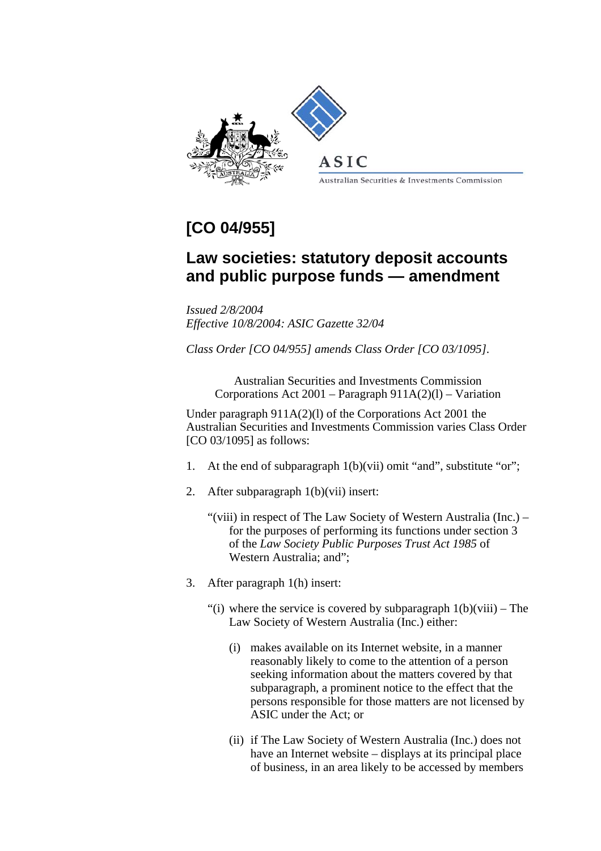

 $A$  S I C

Australian Securities & Investments Commission

## **[CO 04/955]**

## **Law societies: statutory deposit accounts and public purpose funds — amendment**

*Issued 2/8/2004 Effective 10/8/2004: ASIC Gazette 32/04* 

*Class Order [CO 04/955] amends Class Order [CO 03/1095].*

Australian Securities and Investments Commission Corporations Act 2001 – Paragraph 911A(2)(l) – Variation

Under paragraph 911A(2)(l) of the Corporations Act 2001 the Australian Securities and Investments Commission varies Class Order [CO 03/1095] as follows:

- 1. At the end of subparagraph 1(b)(vii) omit "and", substitute "or";
- 2. After subparagraph 1(b)(vii) insert:
	- "(viii) in respect of The Law Society of Western Australia (Inc.) for the purposes of performing its functions under section 3 of the *Law Society Public Purposes Trust Act 1985* of Western Australia; and";
- 3. After paragraph 1(h) insert:
	- "(i) where the service is covered by subparagraph  $1(b)(viii)$  The Law Society of Western Australia (Inc.) either:
		- (i) makes available on its Internet website, in a manner reasonably likely to come to the attention of a person seeking information about the matters covered by that subparagraph, a prominent notice to the effect that the persons responsible for those matters are not licensed by ASIC under the Act; or
		- (ii) if The Law Society of Western Australia (Inc.) does not have an Internet website – displays at its principal place of business, in an area likely to be accessed by members